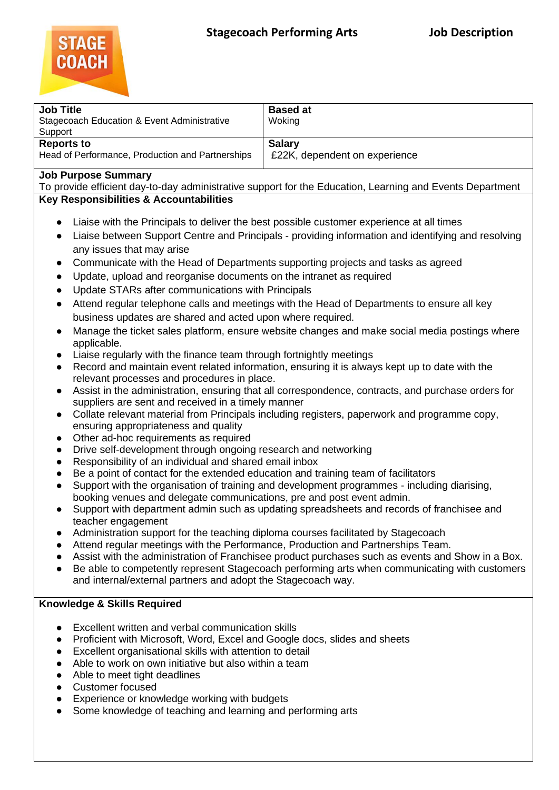

| <b>Job Title</b><br>Stagecoach Education & Event Administrative<br>Support | <b>Based at</b><br>Woking     |
|----------------------------------------------------------------------------|-------------------------------|
| <b>Reports to</b>                                                          | <b>Salary</b>                 |
| Head of Performance, Production and Partnerships                           | £22K, dependent on experience |

## **Job Purpose Summary**

To provide efficient day-to-day administrative support for the Education, Learning and Events Department **Key Responsibilities & Accountabilities** 

- Liaise with the Principals to deliver the best possible customer experience at all times
- Liaise between Support Centre and Principals providing information and identifying and resolving any issues that may arise
- Communicate with the Head of Departments supporting projects and tasks as agreed
- Update, upload and reorganise documents on the intranet as required
- Update STARs after communications with Principals
- Attend regular telephone calls and meetings with the Head of Departments to ensure all key business updates are shared and acted upon where required.
- Manage the ticket sales platform, ensure website changes and make social media postings where applicable.
- Liaise regularly with the finance team through fortnightly meetings
- Record and maintain event related information, ensuring it is always kept up to date with the relevant processes and procedures in place.
- Assist in the administration, ensuring that all correspondence, contracts, and purchase orders for suppliers are sent and received in a timely manner
- Collate relevant material from Principals including registers, paperwork and programme copy, ensuring appropriateness and quality
- Other ad-hoc requirements as required
- Drive self-development through ongoing research and networking
- Responsibility of an individual and shared email inbox
- Be a point of contact for the extended education and training team of facilitators
- Support with the organisation of training and development programmes including diarising, booking venues and delegate communications, pre and post event admin.
- Support with department admin such as updating spreadsheets and records of franchisee and teacher engagement
- Administration support for the teaching diploma courses facilitated by Stagecoach
- Attend regular meetings with the Performance, Production and Partnerships Team.
- Assist with the administration of Franchisee product purchases such as events and Show in a Box.
- Be able to competently represent Stagecoach performing arts when communicating with customers and internal/external partners and adopt the Stagecoach way.

## **Knowledge & Skills Required**

- Excellent written and verbal communication skills
- Proficient with Microsoft, Word, Excel and Google docs, slides and sheets
- Excellent organisational skills with attention to detail
- Able to work on own initiative but also within a team
- Able to meet tight deadlines
- Customer focused
- Experience or knowledge working with budgets
- Some knowledge of teaching and learning and performing arts